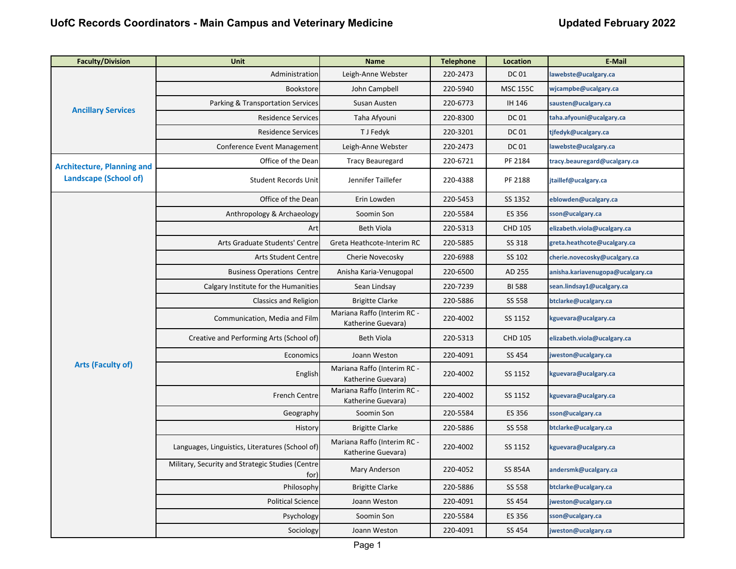| <b>Faculty/Division</b>           | <b>Unit</b>                                              | <b>Name</b>                                       | <b>Telephone</b> | <b>Location</b> | <b>E-Mail</b>                    |
|-----------------------------------|----------------------------------------------------------|---------------------------------------------------|------------------|-----------------|----------------------------------|
| <b>Ancillary Services</b>         | Administration                                           | Leigh-Anne Webster                                | 220-2473         | <b>DC01</b>     | lawebste@ucalgary.ca             |
|                                   | Bookstore                                                | John Campbell                                     | 220-5940         | <b>MSC 155C</b> | wjcampbe@ucalgary.ca             |
|                                   | Parking & Transportation Services                        | Susan Austen                                      | 220-6773         | IH 146          | sausten@ucalgary.ca              |
|                                   | <b>Residence Services</b>                                | Taha Afyouni                                      | 220-8300         | <b>DC01</b>     | taha.afyouni@ucalgary.ca         |
|                                   | <b>Residence Services</b>                                | T J Fedyk                                         | 220-3201         | <b>DC 01</b>    | tjfedyk@ucalgary.ca              |
|                                   | Conference Event Management                              | Leigh-Anne Webster                                | 220-2473         | <b>DC01</b>     | lawebste@ucalgary.ca             |
| <b>Architecture, Planning and</b> | Office of the Dean                                       | <b>Tracy Beauregard</b>                           | 220-6721         | PF 2184         | tracy.beauregard@ucalgary.ca     |
| Landscape (School of)             | Student Records Unit                                     | Jennifer Taillefer                                | 220-4388         | PF 2188         | jtaillef@ucalgary.ca             |
|                                   | Office of the Dean                                       | Erin Lowden                                       | 220-5453         | SS 1352         | eblowden@ucalgary.ca             |
|                                   | Anthropology & Archaeology                               | Soomin Son                                        | 220-5584         | ES 356          | sson@ucalgary.ca                 |
|                                   | Art                                                      | <b>Beth Viola</b>                                 | 220-5313         | <b>CHD 105</b>  | elizabeth.viola@ucalgary.ca      |
|                                   | Arts Graduate Students' Centre                           | Greta Heathcote-Interim RC                        | 220-5885         | SS 318          | greta.heathcote@ucalgary.ca      |
|                                   | <b>Arts Student Centre</b>                               | Cherie Novecosky                                  | 220-6988         | SS 102          | cherie.novecosky@ucalgary.ca     |
|                                   | <b>Business Operations Centre</b>                        | Anisha Karia-Venugopal                            | 220-6500         | AD 255          | anisha.kariavenugopa@ucalgary.ca |
|                                   | Calgary Institute for the Humanities                     | Sean Lindsay                                      | 220-7239         | <b>BI 588</b>   | sean.lindsay1@ucalgary.ca        |
|                                   | Classics and Religion                                    | <b>Brigitte Clarke</b>                            | 220-5886         | SS 558          | btclarke@ucalgary.ca             |
|                                   | Communication, Media and Film                            | Mariana Raffo (Interim RC -<br>Katherine Guevara) | 220-4002         | SS 1152         | kguevara@ucalgary.ca             |
|                                   | Creative and Performing Arts (School of)                 | <b>Beth Viola</b>                                 | 220-5313         | <b>CHD 105</b>  | elizabeth.viola@ucalgary.ca      |
|                                   | Economics                                                | Joann Weston                                      | 220-4091         | SS 454          | jweston@ucalgary.ca              |
| Arts (Faculty of)                 | English                                                  | Mariana Raffo (Interim RC -<br>Katherine Guevara) | 220-4002         | SS 1152         | kguevara@ucalgary.ca             |
|                                   | French Centre                                            | Mariana Raffo (Interim RC -<br>Katherine Guevara) | 220-4002         | SS 1152         | kguevara@ucalgary.ca             |
|                                   | Geography                                                | Soomin Son                                        | 220-5584         | ES 356          | sson@ucalgary.ca                 |
|                                   | History                                                  | <b>Brigitte Clarke</b>                            | 220-5886         | SS 558          | btclarke@ucalgary.ca             |
|                                   | Languages, Linguistics, Literatures (School of)          | Mariana Raffo (Interim RC -<br>Katherine Guevara) | 220-4002         | SS 1152         | kguevara@ucalgary.ca             |
|                                   | Military, Security and Strategic Studies (Centre<br>for) | Mary Anderson                                     | 220-4052         | <b>SS 854A</b>  | andersmk@ucalgary.ca             |
|                                   | Philosophy                                               | <b>Brigitte Clarke</b>                            | 220-5886         | SS 558          | btclarke@ucalgary.ca             |
|                                   | <b>Political Science</b>                                 | Joann Weston                                      | 220-4091         | SS 454          | weston@ucalgary.ca               |
|                                   | Psychology                                               | Soomin Son                                        | 220-5584         | ES 356          | sson@ucalgary.ca                 |
|                                   | Sociology                                                | Joann Weston                                      | 220-4091         | SS 454          | jweston@ucalgary.ca              |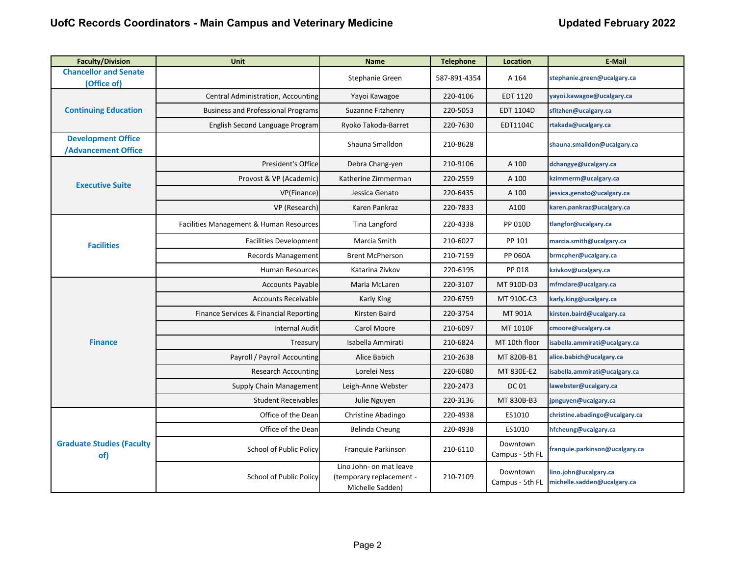| <b>Faculty/Division</b>                                 | <b>Unit</b>                               | <b>Name</b>                                                             | <b>Telephone</b> | <b>Location</b>             | <b>E-Mail</b>                                        |
|---------------------------------------------------------|-------------------------------------------|-------------------------------------------------------------------------|------------------|-----------------------------|------------------------------------------------------|
| <b>Chancellor and Senate</b><br>(Office of)             |                                           | Stephanie Green                                                         | 587-891-4354     | A 164                       | stephanie.green@ucalgary.ca                          |
|                                                         | Central Administration, Accounting        | Yayoi Kawagoe                                                           | 220-4106         | EDT 1120                    | yayoi.kawagoe@ucalgary.ca                            |
| <b>Continuing Education</b>                             | <b>Business and Professional Programs</b> | Suzanne Fitzhenry                                                       | 220-5053         | EDT 1104D                   | sfitzhen@ucalgary.ca                                 |
|                                                         | English Second Language Program           | Ryoko Takoda-Barret                                                     | 220-7630         | EDT1104C                    | rtakada@ucalgary.ca                                  |
| <b>Development Office</b><br><b>/Advancement Office</b> |                                           | Shauna Smalldon                                                         | 210-8628         |                             | shauna.smalldon@ucalgary.ca                          |
|                                                         | President's Office                        | Debra Chang-yen                                                         | 210-9106         | A 100                       | dchangye@ucalgary.ca                                 |
|                                                         | Provost & VP (Academic)                   | Katherine Zimmerman                                                     | 220-2559         | A 100                       | kzimmerm@ucalgary.ca                                 |
| <b>Executive Suite</b>                                  | VP(Finance)                               | Jessica Genato                                                          | 220-6435         | A 100                       | essica.genato@ucalgary.ca                            |
|                                                         | VP (Research)                             | Karen Pankraz                                                           | 220-7833         | A100                        | karen.pankraz@ucalgary.ca                            |
|                                                         | Facilities Management & Human Resources   | Tina Langford                                                           | 220-4338         | PP 010D                     | tlangfor@ucalgary.ca                                 |
| <b>Facilities</b>                                       | <b>Facilities Development</b>             | Marcia Smith                                                            | 210-6027         | PP 101                      | marcia.smith@ucalgary.ca                             |
|                                                         | Records Management                        | <b>Brent McPherson</b>                                                  | 210-7159         | <b>PP 060A</b>              | brmcpher@ucalgary.ca                                 |
|                                                         | Human Resources                           | Katarina Zivkov                                                         | 220-6195         | PP 018                      | kzivkov@ucalgary.ca                                  |
|                                                         | <b>Accounts Payable</b>                   | Maria McLaren                                                           | 220-3107         | MT 910D-D3                  | mfmclare@ucalgary.ca                                 |
|                                                         | <b>Accounts Receivable</b>                | Karly King                                                              | 220-6759         | MT 910C-C3                  | karly.king@ucalgary.ca                               |
|                                                         | Finance Services & Financial Reporting    | Kirsten Baird                                                           | 220-3754         | MT 901A                     | kirsten.baird@ucalgary.ca                            |
|                                                         | <b>Internal Audit</b>                     | Carol Moore                                                             | 210-6097         | MT 1010F                    | cmoore@ucalgary.ca                                   |
| <b>Finance</b>                                          | Treasury                                  | Isabella Ammirati                                                       | 210-6824         | MT 10th floor               | isabella.ammirati@ucalgary.ca                        |
|                                                         | Payroll / Payroll Accounting              | Alice Babich                                                            | 210-2638         | MT 820B-B1                  | alice.babich@ucalgary.ca                             |
|                                                         | <b>Research Accounting</b>                | Lorelei Ness                                                            | 220-6080         | MT 830E-E2                  | isabella.ammirati@ucalgary.ca                        |
|                                                         | Supply Chain Management                   | Leigh-Anne Webster                                                      | 220-2473         | <b>DC01</b>                 | lawebster@ucalgary.ca                                |
|                                                         | <b>Student Receivables</b>                | Julie Nguyen                                                            | 220-3136         | MT 830B-B3                  | jpnguyen@ucalgary.ca                                 |
|                                                         | Office of the Dean                        | Christine Abadingo                                                      | 220-4938         | ES1010                      | christine.abadingo@ucalgary.ca                       |
|                                                         | Office of the Dean                        | Belinda Cheung                                                          | 220-4938         | ES1010                      | hfcheung@ucalgary.ca                                 |
| <b>Graduate Studies (Faculty</b><br>of)                 | <b>School of Public Policy</b>            | Franquie Parkinson                                                      | 210-6110         | Downtown<br>Campus - 5th FL | franquie.parkinson@ucalgary.ca                       |
|                                                         | School of Public Policy                   | Lino John- on mat leave<br>(temporary replacement -<br>Michelle Sadden) | 210-7109         | Downtown<br>Campus - 5th FL | lino.john@ucalgary.ca<br>michelle.sadden@ucalgary.ca |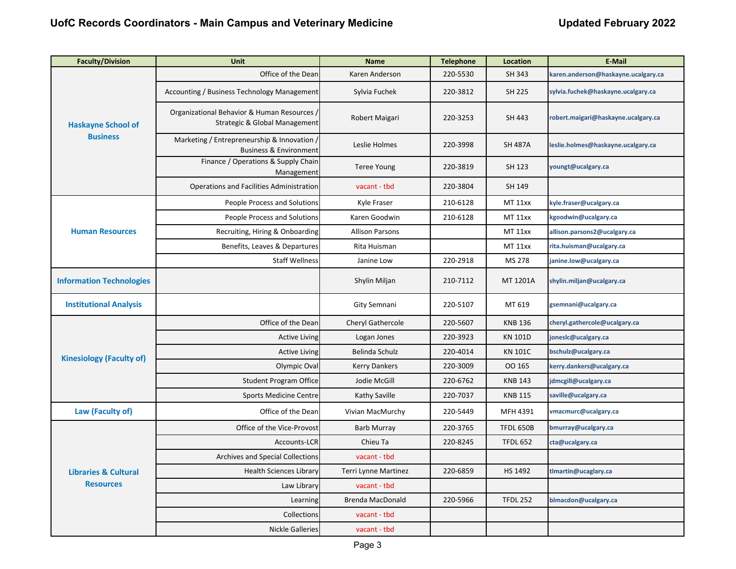| <b>Faculty/Division</b>                             | <b>Unit</b>                                                                      | <b>Name</b>             | <b>Telephone</b> | <b>Location</b>  | <b>E-Mail</b>                       |
|-----------------------------------------------------|----------------------------------------------------------------------------------|-------------------------|------------------|------------------|-------------------------------------|
| <b>Haskayne School of</b>                           | Office of the Dean                                                               | Karen Anderson          | 220-5530         | SH 343           | karen.anderson@haskayne.ucalgary.ca |
|                                                     | Accounting / Business Technology Management                                      | Sylvia Fuchek           | 220-3812         | SH 225           | sylvia.fuchek@haskayne.ucalgary.ca  |
|                                                     | Organizational Behavior & Human Resources /<br>Strategic & Global Management     | Robert Maigari          | 220-3253         | SH 443           | robert.maigari@haskayne.ucalgary.ca |
| <b>Business</b>                                     | Marketing / Entrepreneurship & Innovation /<br><b>Business &amp; Environment</b> | Leslie Holmes           | 220-3998         | <b>SH 487A</b>   | leslie.holmes@haskayne.ucalgary.ca  |
|                                                     | Finance / Operations & Supply Chain<br>Management                                | <b>Teree Young</b>      | 220-3819         | SH 123           | youngt@ucalgary.ca                  |
|                                                     | Operations and Facilities Administration                                         | vacant - tbd            | 220-3804         | SH 149           |                                     |
|                                                     | People Process and Solutions                                                     | Kyle Fraser             | 210-6128         | <b>MT 11xx</b>   | kyle.fraser@ucalgary.ca             |
|                                                     | <b>People Process and Solutions</b>                                              | Karen Goodwin           | 210-6128         | <b>MT 11xx</b>   | kgoodwin@ucalgary.ca                |
| <b>Human Resources</b>                              | Recruiting, Hiring & Onboarding                                                  | <b>Allison Parsons</b>  |                  | <b>MT 11xx</b>   | allison.parsons2@ucalgary.ca        |
|                                                     | Benefits, Leaves & Departures                                                    | Rita Huisman            |                  | <b>MT 11xx</b>   | rita.huisman@ucalgary.ca            |
|                                                     | <b>Staff Wellness</b>                                                            | Janine Low              | 220-2918         | MS 278           | janine.low@ucalgary.ca              |
| <b>Information Technologies</b>                     |                                                                                  | Shylin Miljan           | 210-7112         | MT 1201A         | shylin.miljan@ucalgary.ca           |
| <b>Institutional Analysis</b>                       |                                                                                  | Gity Semnani            | 220-5107         | MT 619           | gsemnani@ucalgary.ca                |
|                                                     | Office of the Dean                                                               | Cheryl Gathercole       | 220-5607         | <b>KNB 136</b>   | cheryl.gathercole@ucalgary.ca       |
|                                                     | <b>Active Living</b>                                                             | Logan Jones             | 220-3923         | <b>KN 101D</b>   | joneslc@ucalgary.ca                 |
|                                                     | <b>Active Living</b>                                                             | Belinda Schulz          | 220-4014         | <b>KN 101C</b>   | bschulz@ucalgary.ca                 |
| <b>Kinesiology (Faculty of)</b>                     | Olympic Oval                                                                     | <b>Kerry Dankers</b>    | 220-3009         | 00 165           | kerry.dankers@ucalgary.ca           |
|                                                     | <b>Student Program Office</b>                                                    | Jodie McGill            | 220-6762         | <b>KNB 143</b>   | jdmcgill@ucalgary.ca                |
|                                                     | <b>Sports Medicine Centre</b>                                                    | Kathy Saville           | 220-7037         | <b>KNB 115</b>   | saville@ucalgary.ca                 |
| Law (Faculty of)                                    | Office of the Dean                                                               | Vivian MacMurchy        | 220-5449         | MFH 4391         | vmacmurc@ucalgary.ca                |
|                                                     | Office of the Vice-Provost                                                       | <b>Barb Murray</b>      | 220-3765         | <b>TFDL 650B</b> | bmurray@ucalgary.ca                 |
| <b>Libraries &amp; Cultural</b><br><b>Resources</b> | Accounts-LCR                                                                     | Chieu Ta                | 220-8245         | <b>TFDL 652</b>  | cta@ucalgary.ca                     |
|                                                     | Archives and Special Collections                                                 | vacant - tbd            |                  |                  |                                     |
|                                                     | <b>Health Sciences Library</b>                                                   | Terri Lynne Martinez    | 220-6859         | HS 1492          | tlmartin@ucaglary.ca                |
|                                                     | Law Library                                                                      | vacant - tbd            |                  |                  |                                     |
|                                                     | Learning                                                                         | <b>Brenda MacDonald</b> | 220-5966         | <b>TFDL 252</b>  | blmacdon@ucalgary.ca                |
|                                                     | Collections                                                                      | vacant - tbd            |                  |                  |                                     |
|                                                     | <b>Nickle Galleries</b>                                                          | vacant - tbd            |                  |                  |                                     |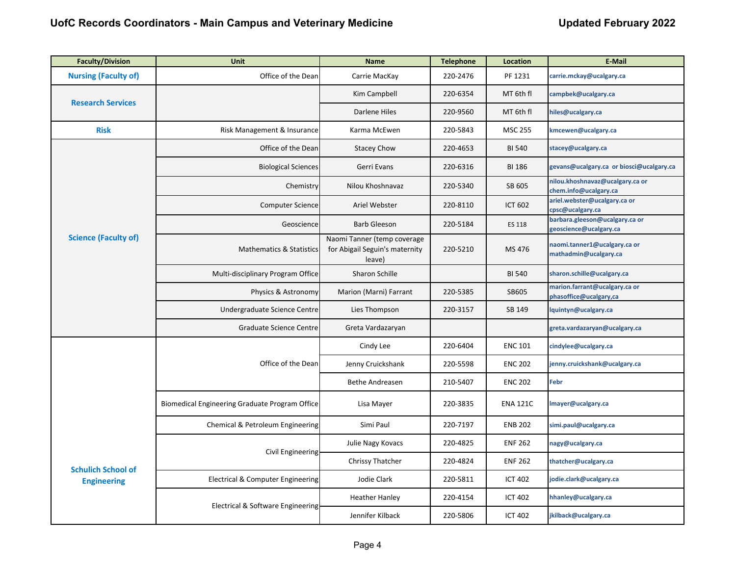| <b>Faculty/Division</b>                         | <b>Unit</b>                                    | <b>Name</b>                                                             | <b>Telephone</b> | <b>Location</b> | <b>E-Mail</b>                                                                                                                                                                                       |
|-------------------------------------------------|------------------------------------------------|-------------------------------------------------------------------------|------------------|-----------------|-----------------------------------------------------------------------------------------------------------------------------------------------------------------------------------------------------|
| <b>Nursing (Faculty of)</b>                     | Office of the Dean                             | Carrie MacKay                                                           | 220-2476         | PF 1231         | carrie.mckay@ucalgary.ca                                                                                                                                                                            |
| <b>Research Services</b>                        |                                                | Kim Campbell                                                            | 220-6354         | MT 6th fl       | campbek@ucalgary.ca                                                                                                                                                                                 |
|                                                 |                                                | Darlene Hiles                                                           | 220-9560         | MT 6th fl       | hiles@ucalgary.ca                                                                                                                                                                                   |
| <b>Risk</b>                                     | Risk Management & Insurance                    | Karma McEwen                                                            | 220-5843         | <b>MSC 255</b>  | kmcewen@ucalgary.ca                                                                                                                                                                                 |
|                                                 | Office of the Dean                             | <b>Stacey Chow</b>                                                      | 220-4653         | <b>BI 540</b>   | stacey@ucalgary.ca                                                                                                                                                                                  |
|                                                 | <b>Biological Sciences</b>                     | Gerri Evans                                                             | 220-6316         | <b>BI 186</b>   | gevans@ucalgary.ca or biosci@ucalgary.ca                                                                                                                                                            |
|                                                 | Chemistry                                      | Nilou Khoshnavaz                                                        | 220-5340         | SB 605          | nilou.khoshnavaz@ucalgary.ca or<br>chem.info@ucalgary.ca                                                                                                                                            |
|                                                 | <b>Computer Science</b>                        | Ariel Webster                                                           | 220-8110         | <b>ICT 602</b>  | ariel.webster@ucalgary.ca or<br>cpsc@ucalgary.ca                                                                                                                                                    |
|                                                 | Geoscience                                     | <b>Barb Gleeson</b>                                                     | 220-5184         | ES 118          | barbara.gleeson@ucalgary.ca or                                                                                                                                                                      |
| <b>Science (Faculty of)</b>                     | <b>Mathematics &amp; Statistics</b>            | Naomi Tanner (temp coverage<br>for Abigail Seguin's maternity<br>leave) | 220-5210         | MS 476          | naomi.tanner1@ucalgary.ca or<br>mathadmin@ucalgary.ca                                                                                                                                               |
|                                                 | Multi-disciplinary Program Office              | Sharon Schille                                                          |                  | <b>BI 540</b>   | sharon.schille@ucalgary.ca                                                                                                                                                                          |
|                                                 | Physics & Astronomy                            | Marion (Marni) Farrant                                                  | 220-5385         | SB605           | marion.farrant@ucalgary.ca or<br>phasoffice@ucalgary,ca                                                                                                                                             |
|                                                 | Undergraduate Science Centre                   | Lies Thompson                                                           | 220-3157         | SB 149          | lquintyn@ucalgary.ca                                                                                                                                                                                |
|                                                 | <b>Graduate Science Centre</b>                 | Greta Vardazaryan                                                       |                  |                 | greta.vardazaryan@ucalgary.ca                                                                                                                                                                       |
|                                                 |                                                | Cindy Lee                                                               | 220-6404         | <b>ENC 101</b>  | cindylee@ucalgary.ca                                                                                                                                                                                |
|                                                 | Office of the Dean                             | Jenny Cruickshank                                                       | 220-5598         | <b>ENC 202</b>  | jenny.cruickshank@ucalgary.ca                                                                                                                                                                       |
|                                                 |                                                | <b>Bethe Andreasen</b>                                                  | 210-5407         | <b>ENC 202</b>  | geoscience@ucalgary.ca<br>Febr<br>Imayer@ucalgary.ca<br>simi.paul@ucalgary.ca<br>nagy@ucalgary.ca<br>thatcher@ucalgary.ca<br>jodie.clark@ucalgary.ca<br>hhanley@ucalgary.ca<br>jkilback@ucalgary.ca |
|                                                 | Biomedical Engineering Graduate Program Office | Lisa Mayer                                                              | 220-3835         | <b>ENA 121C</b> |                                                                                                                                                                                                     |
|                                                 | Chemical & Petroleum Engineering               | Simi Paul                                                               | 220-7197         | <b>ENB 202</b>  |                                                                                                                                                                                                     |
| <b>Schulich School of</b><br><b>Engineering</b> |                                                | Julie Nagy Kovacs                                                       | 220-4825         | <b>ENF 262</b>  |                                                                                                                                                                                                     |
|                                                 | Civil Engineering                              | Chrissy Thatcher                                                        | 220-4824         | <b>ENF 262</b>  |                                                                                                                                                                                                     |
|                                                 | Electrical & Computer Engineering              | Jodie Clark                                                             | 220-5811         | <b>ICT 402</b>  |                                                                                                                                                                                                     |
|                                                 | Electrical & Software Engineering              | <b>Heather Hanley</b>                                                   | 220-4154         | <b>ICT 402</b>  |                                                                                                                                                                                                     |
|                                                 |                                                | Jennifer Kilback                                                        | 220-5806         | <b>ICT 402</b>  |                                                                                                                                                                                                     |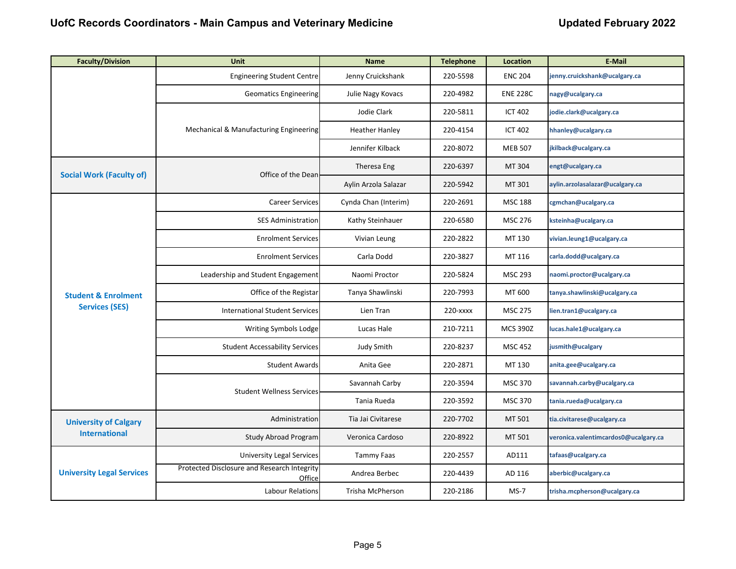| <b>Faculty/Division</b>                              | <b>Unit</b>                                           | <b>Name</b>           | <b>Telephone</b> | Location        | E-Mail                               |
|------------------------------------------------------|-------------------------------------------------------|-----------------------|------------------|-----------------|--------------------------------------|
|                                                      | <b>Engineering Student Centre</b>                     | Jenny Cruickshank     | 220-5598         | <b>ENC 204</b>  | jenny.cruickshank@ucalgary.ca        |
|                                                      | <b>Geomatics Engineering</b>                          | Julie Nagy Kovacs     | 220-4982         | <b>ENE 228C</b> | nagy@ucalgary.ca                     |
|                                                      |                                                       | Jodie Clark           | 220-5811         | <b>ICT 402</b>  | jodie.clark@ucalgary.ca              |
|                                                      | Mechanical & Manufacturing Engineering                | <b>Heather Hanley</b> | 220-4154         | <b>ICT 402</b>  | hhanley@ucalgary.ca                  |
|                                                      |                                                       | Jennifer Kilback      | 220-8072         | <b>MEB 507</b>  | jkilback@ucalgary.ca                 |
| <b>Social Work (Faculty of)</b>                      | Office of the Dean                                    | Theresa Eng           | 220-6397         | MT 304          | engt@ucalgary.ca                     |
|                                                      |                                                       | Aylin Arzola Salazar  | 220-5942         | MT 301          | aylin.arzolasalazar@ucalgary.ca      |
|                                                      | <b>Career Services</b>                                | Cynda Chan (Interim)  | 220-2691         | <b>MSC 188</b>  | cgmchan@ucalgary.ca                  |
|                                                      | <b>SES Administration</b>                             | Kathy Steinhauer      | 220-6580         | <b>MSC 276</b>  | ksteinha@ucalgary.ca                 |
|                                                      | <b>Enrolment Services</b>                             | Vivian Leung          | 220-2822         | MT 130          | vivian.leung1@ucalgary.ca            |
|                                                      | <b>Enrolment Services</b>                             | Carla Dodd            | 220-3827         | MT 116          | carla.dodd@ucalgary.ca               |
|                                                      | Leadership and Student Engagement                     | Naomi Proctor         | 220-5824         | <b>MSC 293</b>  | naomi.proctor@ucalgary.ca            |
| <b>Student &amp; Enrolment</b>                       | Office of the Registar                                | Tanya Shawlinski      | 220-7993         | MT 600          | tanya.shawlinski@ucalgary.ca         |
| <b>Services (SES)</b>                                | <b>International Student Services</b>                 | Lien Tran             | 220-xxxx         | <b>MSC 275</b>  | ien.tran1@ucalgary.ca                |
|                                                      | Writing Symbols Lodge                                 | Lucas Hale            | 210-7211         | <b>MCS 390Z</b> | ucas.hale1@ucalgary.ca               |
|                                                      | <b>Student Accessability Services</b>                 | Judy Smith            | 220-8237         | <b>MSC 452</b>  | usmith@ucalgary                      |
|                                                      | <b>Student Awards</b>                                 | Anita Gee             | 220-2871         | MT 130          | anita.gee@ucalgary.ca                |
|                                                      | <b>Student Wellness Services</b>                      | Savannah Carby        | 220-3594         | <b>MSC 370</b>  | savannah.carby@ucalgary.ca           |
|                                                      |                                                       | Tania Rueda           | 220-3592         | <b>MSC 370</b>  | tania.rueda@ucalgary.ca              |
| <b>University of Calgary</b><br><b>International</b> | Administration                                        | Tia Jai Civitarese    | 220-7702         | MT 501          | tia.civitarese@ucalgary.ca           |
|                                                      | Study Abroad Program                                  | Veronica Cardoso      | 220-8922         | MT 501          | veronica.valentimcardos0@ucalgary.ca |
|                                                      | University Legal Services                             | Tammy Faas            | 220-2557         | AD111           | tafaas@ucalgary.ca                   |
| <b>University Legal Services</b>                     | Protected Disclosure and Research Integrity<br>Office | Andrea Berbec         | 220-4439         | AD 116          | aberbic@ucalgary.ca                  |
|                                                      | Labour Relations                                      | Trisha McPherson      | 220-2186         | $MS-7$          | trisha.mcpherson@ucalgary.ca         |